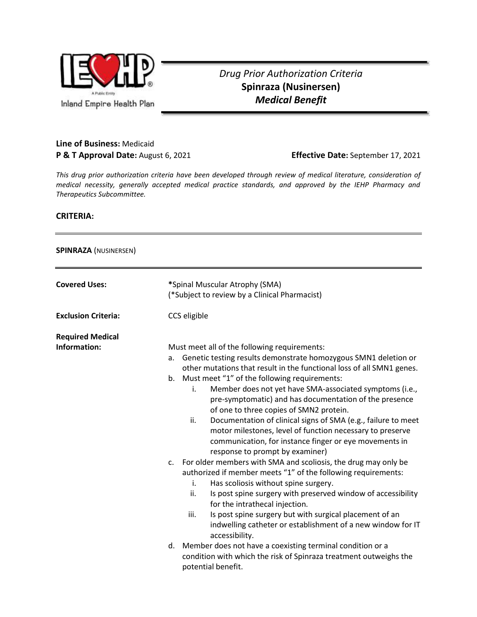

## *Drug Prior Authorization Criteria* **Spinraza (Nusinersen)** *Medical Benefit*

## **Line of Business:** Medicaid **P & T Approval Date:** August 6, 2021 **Effective Date:** September 17, 2021

*This drug prior authorization criteria have been developed through review of medical literature, consideration of medical necessity, generally accepted medical practice standards, and approved by the IEHP Pharmacy and Therapeutics Subcommittee.*

## **CRITERIA:**

## **SPINRAZA** (NUSINERSEN)

| <b>Covered Uses:</b>                    | *Spinal Muscular Atrophy (SMA)<br>(*Subject to review by a Clinical Pharmacist)                                                                                                                                                                                                                                                                                                                                                                                                                                                                                                                                                                                                                                                                                                                                                                                                                                                                                                                                                                                                                                                                                            |
|-----------------------------------------|----------------------------------------------------------------------------------------------------------------------------------------------------------------------------------------------------------------------------------------------------------------------------------------------------------------------------------------------------------------------------------------------------------------------------------------------------------------------------------------------------------------------------------------------------------------------------------------------------------------------------------------------------------------------------------------------------------------------------------------------------------------------------------------------------------------------------------------------------------------------------------------------------------------------------------------------------------------------------------------------------------------------------------------------------------------------------------------------------------------------------------------------------------------------------|
| <b>Exclusion Criteria:</b>              | CCS eligible                                                                                                                                                                                                                                                                                                                                                                                                                                                                                                                                                                                                                                                                                                                                                                                                                                                                                                                                                                                                                                                                                                                                                               |
| <b>Required Medical</b><br>Information: | Must meet all of the following requirements:<br>Genetic testing results demonstrate homozygous SMN1 deletion or<br>a.<br>other mutations that result in the functional loss of all SMN1 genes.<br>b. Must meet "1" of the following requirements:<br>Member does not yet have SMA-associated symptoms (i.e.,<br>i.<br>pre-symptomatic) and has documentation of the presence<br>of one to three copies of SMN2 protein.<br>ii.<br>Documentation of clinical signs of SMA (e.g., failure to meet<br>motor milestones, level of function necessary to preserve<br>communication, for instance finger or eye movements in<br>response to prompt by examiner)<br>c. For older members with SMA and scoliosis, the drug may only be<br>authorized if member meets "1" of the following requirements:<br>Has scoliosis without spine surgery.<br>i.<br>ii.<br>Is post spine surgery with preserved window of accessibility<br>for the intrathecal injection.<br>iii.<br>Is post spine surgery but with surgical placement of an<br>indwelling catheter or establishment of a new window for IT<br>accessibility.<br>d. Member does not have a coexisting terminal condition or a |
|                                         | condition with which the risk of Spinraza treatment outweighs the<br>potential benefit.                                                                                                                                                                                                                                                                                                                                                                                                                                                                                                                                                                                                                                                                                                                                                                                                                                                                                                                                                                                                                                                                                    |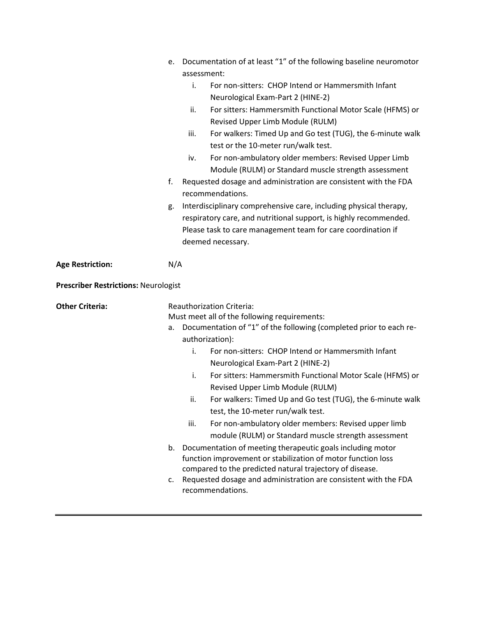|                                             | e. Documentation of at least "1" of the following baseline neuromotor                                              |
|---------------------------------------------|--------------------------------------------------------------------------------------------------------------------|
|                                             | assessment:                                                                                                        |
|                                             | For non-sitters: CHOP Intend or Hammersmith Infant<br>i.                                                           |
|                                             | Neurological Exam-Part 2 (HINE-2)                                                                                  |
|                                             | For sitters: Hammersmith Functional Motor Scale (HFMS) or<br>ii.                                                   |
|                                             | Revised Upper Limb Module (RULM)                                                                                   |
|                                             | For walkers: Timed Up and Go test (TUG), the 6-minute walk<br>iii.                                                 |
|                                             | test or the 10-meter run/walk test.                                                                                |
|                                             | For non-ambulatory older members: Revised Upper Limb<br>iv.                                                        |
|                                             | Module (RULM) or Standard muscle strength assessment                                                               |
|                                             | Requested dosage and administration are consistent with the FDA<br>f.<br>recommendations.                          |
|                                             | Interdisciplinary comprehensive care, including physical therapy,<br>g.                                            |
|                                             | respiratory care, and nutritional support, is highly recommended.                                                  |
|                                             | Please task to care management team for care coordination if                                                       |
|                                             | deemed necessary.                                                                                                  |
| <b>Age Restriction:</b>                     | N/A                                                                                                                |
| <b>Prescriber Restrictions: Neurologist</b> |                                                                                                                    |
| <b>Other Criteria:</b>                      | <b>Reauthorization Criteria:</b>                                                                                   |
|                                             | Must meet all of the following requirements:                                                                       |
|                                             | Documentation of "1" of the following (completed prior to each re-<br>a.                                           |
|                                             | authorization):                                                                                                    |
|                                             | For non-sitters: CHOP Intend or Hammersmith Infant<br>i.                                                           |
|                                             | Neurological Exam-Part 2 (HINE-2)                                                                                  |
|                                             | i.                                                                                                                 |
|                                             | For sitters: Hammersmith Functional Motor Scale (HFMS) or<br>Revised Upper Limb Module (RULM)                      |
|                                             | ii.                                                                                                                |
|                                             | test, the 10-meter run/walk test.                                                                                  |
|                                             | For non-ambulatory older members: Revised upper limb<br>iii.                                                       |
|                                             | For walkers: Timed Up and Go test (TUG), the 6-minute walk<br>module (RULM) or Standard muscle strength assessment |
|                                             | Documentation of meeting therapeutic goals including motor<br>b.                                                   |
|                                             | function improvement or stabilization of motor function loss                                                       |
|                                             | compared to the predicted natural trajectory of disease.                                                           |
|                                             | Requested dosage and administration are consistent with the FDA<br>c.<br>recommendations.                          |